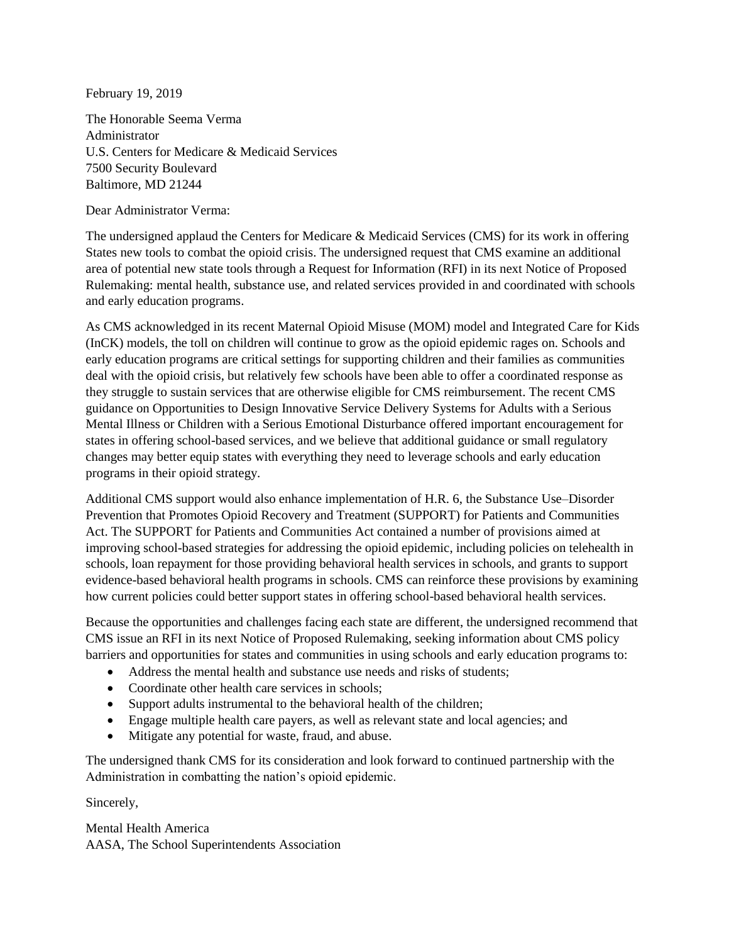February 19, 2019

The Honorable Seema Verma Administrator U.S. Centers for Medicare & Medicaid Services 7500 Security Boulevard Baltimore, MD 21244

Dear Administrator Verma:

The undersigned applaud the Centers for Medicare & Medicaid Services (CMS) for its work in offering States new tools to combat the opioid crisis. The undersigned request that CMS examine an additional area of potential new state tools through a Request for Information (RFI) in its next Notice of Proposed Rulemaking: mental health, substance use, and related services provided in and coordinated with schools and early education programs.

As CMS acknowledged in its recent Maternal Opioid Misuse (MOM) model and Integrated Care for Kids (InCK) models, the toll on children will continue to grow as the opioid epidemic rages on. Schools and early education programs are critical settings for supporting children and their families as communities deal with the opioid crisis, but relatively few schools have been able to offer a coordinated response as they struggle to sustain services that are otherwise eligible for CMS reimbursement. The recent CMS guidance on Opportunities to Design Innovative Service Delivery Systems for Adults with a Serious Mental Illness or Children with a Serious Emotional Disturbance offered important encouragement for states in offering school-based services, and we believe that additional guidance or small regulatory changes may better equip states with everything they need to leverage schools and early education programs in their opioid strategy.

Additional CMS support would also enhance implementation of H.R. 6, the Substance Use–Disorder Prevention that Promotes Opioid Recovery and Treatment (SUPPORT) for Patients and Communities Act. The SUPPORT for Patients and Communities Act contained a number of provisions aimed at improving school-based strategies for addressing the opioid epidemic, including policies on telehealth in schools, loan repayment for those providing behavioral health services in schools, and grants to support evidence-based behavioral health programs in schools. CMS can reinforce these provisions by examining how current policies could better support states in offering school-based behavioral health services.

Because the opportunities and challenges facing each state are different, the undersigned recommend that CMS issue an RFI in its next Notice of Proposed Rulemaking, seeking information about CMS policy barriers and opportunities for states and communities in using schools and early education programs to:

- Address the mental health and substance use needs and risks of students:
- Coordinate other health care services in schools:
- Support adults instrumental to the behavioral health of the children;
- Engage multiple health care payers, as well as relevant state and local agencies; and
- Mitigate any potential for waste, fraud, and abuse.

The undersigned thank CMS for its consideration and look forward to continued partnership with the Administration in combatting the nation's opioid epidemic.

Sincerely,

Mental Health America AASA, The School Superintendents Association